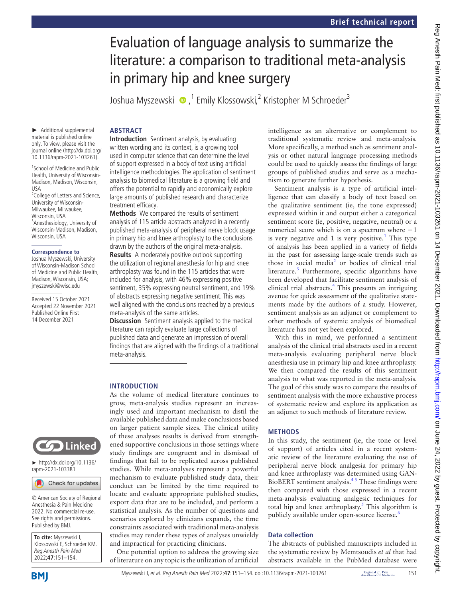# Evaluation of language analysis to summarize the literature: a comparison to traditional meta-analysis in primary hip and knee surgery

Joshua Myszewski  $\bullet$  ,<sup>1</sup> Emily Klossowski,<sup>2</sup> Kristopher M Schroeder<sup>3</sup>

# **ABSTRACT**

► Additional supplemental material is published online only. To view, please visit the journal online ([http://dx.doi.org/](http://dx.doi.org/10.1136/rapm-2021-103261) [10.1136/rapm-2021-103261\)](http://dx.doi.org/10.1136/rapm-2021-103261).

1 School of Medicine and Public Health, University of Wisconsin-Madison, Madison, Wisconsin, USA

<sup>2</sup>College of Letters and Science, University of Wisconsin-Milwaukee, Milwaukee, Wisconsin, USA 3 Anesthesiology, University of Wisconsin-Madison, Madison, Wisconsin, USA

#### **Correspondence to**

Joshua Myszewski, University of Wisconsin-Madison School of Medicine and Public Health, Madison, Wisconsin, USA; jmyszewski@wisc.edu

Received 15 October 2021 Accepted 22 November 2021 Published Online First 14 December 2021

**Introduction** Sentiment analysis, by evaluating written wording and its context, is a growing tool used in computer science that can determine the level of support expressed in a body of text using artificial intelligence methodologies. The application of sentiment analysis to biomedical literature is a growing field and offers the potential to rapidly and economically explore large amounts of published research and characterize treatment efficacy.

**Methods** We compared the results of sentiment analysis of 115 article abstracts analyzed in a recently published meta-analysis of peripheral nerve block usage in primary hip and knee arthroplasty to the conclusions drawn by the authors of the original meta-analysis. **Results** A moderately positive outlook supporting the utilization of regional anesthesia for hip and knee arthroplasty was found in the 115 articles that were included for analysis, with 46% expressing positive sentiment, 35% expressing neutral sentiment, and 19%

of abstracts expressing negative sentiment. This was well aligned with the conclusions reached by a previous meta-analysis of the same articles.

**Discussion** Sentiment analysis applied to the medical literature can rapidly evaluate large collections of published data and generate an impression of overall findings that are aligned with the findings of a traditional meta-analysis.

## **INTRODUCTION**

As the volume of medical literature continues to grow, meta-analysis studies represent an increasingly used and important mechanism to distil the available published data and make conclusions based on larger patient sample sizes. The clinical utility of these analyses results is derived from strengthened supportive conclusions in those settings where study findings are congruent and in dismissal of findings that fail to be replicated across published studies. While meta-analyses represent a powerful mechanism to evaluate published study data, their conduct can be limited by the time required to locate and evaluate appropriate published studies, export data that are to be included, and perform a statistical analysis. As the number of questions and scenarios explored by clinicians expands, the time constraints associated with traditional meta-analysis studies may render these types of analyses unwieldy and impractical for practicing clinicians.

One potential option to address the growing size of literature on any topic is the utilization of artificial intelligence as an alternative or complement to traditional systematic review and meta-analysis. More specifically, a method such as sentiment analysis or other natural language processing methods could be used to quickly assess the findings of large groups of published studies and serve as a mechanism to generate further hypothesis.

Sentiment analysis is a type of artificial intelligence that can classify a body of text based on the qualitative sentiment (ie, the tone expressed) expressed within it and output either a categorical sentiment score (ie, positive, negative, neutral) or a numerical score which is on a spectrum where  $-1$ is very negative and [1](#page-3-0) is very positive.<sup>1</sup> This type of analysis has been applied in a variety of fields in the past for assessing large-scale trends such as those in social media<sup>[2](#page-3-1)</sup> or bodies of clinical trial literature.<sup>[3](#page-3-2)</sup> Furthermore, specific algorithms have been developed that facilitate sentiment analysis of clinical trial abstracts.<sup>4</sup> This presents an intriguing avenue for quick assessment of the qualitative statements made by the authors of a study. However, sentiment analysis as an adjunct or complement to other methods of systemic analysis of biomedical literature has not yet been explored.

With this in mind, we performed a sentiment analysis of the clinical trial abstracts used in a recent meta-analysis evaluating peripheral nerve block anesthesia use in primary hip and knee arthroplasty. We then compared the results of this sentiment analysis to what was reported in the meta-analysis. The goal of this study was to compare the results of sentiment analysis with the more exhaustive process of systematic review and explore its application as an adjunct to such methods of literature review.

## **METHODS**

In this study, the sentiment (ie, the tone or level of support) of articles cited in a recent systematic review of the literature evaluating the use of peripheral nerve block analgesia for primary hip and knee arthroplasty was determined using GAN-BioBERT sentiment analysis.[4 5](#page-3-3) These findings were then compared with those expressed in a recent meta-analysis evaluating analgesic techniques for total hip and knee arthroplasty.<sup>[5](#page-3-4)</sup> This algorithm is publicly available under open-source license.<sup>[6](#page-3-5)</sup>

## **Data collection**

The abstracts of published manuscripts included in the systematic review by Memtsoudis *et al* that had abstracts available in the PubMed database were

**To cite:** Myszewski J, Klossowski E, Schroeder KM. Reg Anesth Pain Med 2022;**47**:151–154.

© American Society of Regional Anesthesia & Pain Medicine 2022. No commercial re-use. See rights and permissions. Published by BMJ.

Check for updates

► [http://dx.doi.org/10.1136/](http://dx.doi.org/10.1136/rapm-2021-103381) [rapm-2021-103381](http://dx.doi.org/10.1136/rapm-2021-103381)

**CO** Linked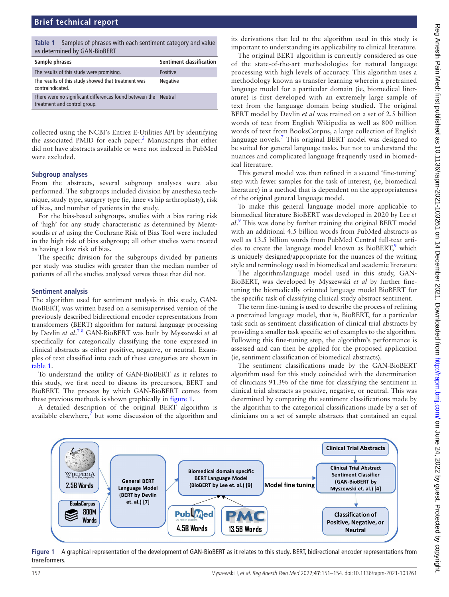## **Brief technical report**

<span id="page-1-0"></span>

|                              | Table 1 Samples of phrases with each sentiment category and value |  |  |  |
|------------------------------|-------------------------------------------------------------------|--|--|--|
| as determined by GAN-BioBERT |                                                                   |  |  |  |

| Sample phrases                                                                                  | <b>Sentiment classification</b> |
|-------------------------------------------------------------------------------------------------|---------------------------------|
| The results of this study were promising.                                                       | <b>Positive</b>                 |
| The results of this study showed that treatment was<br>contraindicated.                         | Negative                        |
| There were no significant differences found between the Neutral<br>treatment and control group. |                                 |

collected using the NCBI's Entrez E-Utilities API by identifying the associated PMID for each paper.<sup>[5](#page-3-4)</sup> Manuscripts that either did not have abstracts available or were not indexed in PubMed were excluded.

## **Subgroup analyses**

From the abstracts, several subgroup analyses were also performed. The subgroups included division by anesthesia technique, study type, surgery type (ie, knee vs hip arthroplasty), risk of bias, and number of patients in the study.

For the bias-based subgroups, studies with a bias rating risk of 'high' for any study characteristic as determined by Memtsoudis *et al* using the Cochrane Risk of Bias Tool were included in the high risk of bias subgroup; all other studies were treated as having a low risk of bias.

The specific division for the subgroups divided by patients per study was studies with greater than the median number of patients of all the studies analyzed versus those that did not.

## **Sentiment analysis**

The algorithm used for sentiment analysis in this study, GAN-BioBERT, was written based on a semisupervised version of the previously described bidirectional encoder representations from transformers (BERT) algorithm for natural language processing by Devlin *et al*. [7 8](#page-3-6) GAN-BioBERT was built by Myszewski *et al* specifically for categorically classifying the tone expressed in clinical abstracts as either positive, negative, or neutral. Examples of text classified into each of these categories are shown in [table](#page-1-0) 1.

To understand the utility of GAN-BioBERT as it relates to this study, we first need to discuss its precursors, BERT and BioBERT. The process by which GAN-BioBERT comes from these previous methods is shown graphically in [figure](#page-1-1) 1.

A detailed description of the original BERT algorithm is available elsewhere,<sup>7</sup> but some discussion of the algorithm and

its derivations that led to the algorithm used in this study is important to understanding its applicability to clinical literature.

The original BERT algorithm is currently considered as one of the state-of-the-art methodologies for natural language processing with high levels of accuracy. This algorithm uses a methodology known as transfer learning wherein a pretrained language model for a particular domain (ie, biomedical literature) is first developed with an extremely large sample of text from the language domain being studied. The original BERT model by Devlin *et al* was trained on a set of 2.5 billion words of text from English Wikipedia as well as 800 million words of text from BooksCorpus, a large collection of English language novels.<sup>[7](#page-3-6)</sup> This original BERT model was designed to be suited for general language tasks, but not to understand the nuances and complicated language frequently used in biomedical literature.

This general model was then refined in a second 'fine-tuning' step with fewer samples for the task of interest, (ie, biomedical literature) in a method that is dependent on the appropriateness of the original general language model.

To make this general language model more applicable to biomedical literature BioBERT was developed in 2020 by Lee *et al*. [9](#page-3-7) This was done by further training the original BERT model with an additional 4.5 billion words from PubMed abstracts as well as 13.5 billion words from PubMed Central full-text articles to create the language model known as BioBERT, $9$  which is uniquely designed/appropriate for the nuances of the writing style and terminology used in biomedical and academic literature

The algorithm/language model used in this study, GAN-BioBERT, was developed by Myszewski *et al* by further finetuning the biomedically oriented language model BioBERT for the specific task of classifying clinical study abstract sentiment.

The term fine-tuning is used to describe the process of refining a pretrained language model, that is, BioBERT, for a particular task such as sentiment classification of clinical trial abstracts by providing a smaller task specific set of examples to the algorithm. Following this fine-tuning step, the algorithm's performance is assessed and can then be applied for the proposed application (ie, sentiment classification of biomedical abstracts).

The sentiment classifications made by the GAN-BioBERT algorithm used for this study coincided with the determination of clinicians 91.3% of the time for classifying the sentiment in clinical trial abstracts as positive, negative, or neutral. This was determined by comparing the sentiment classifications made by the algorithm to the categorical classifications made by a set of clinicians on a set of sample abstracts that contained an equal



<span id="page-1-1"></span>**Figure 1** A graphical representation of the development of GAN-BioBERT as it relates to this study. BERT, bidirectional encoder representations from transformers.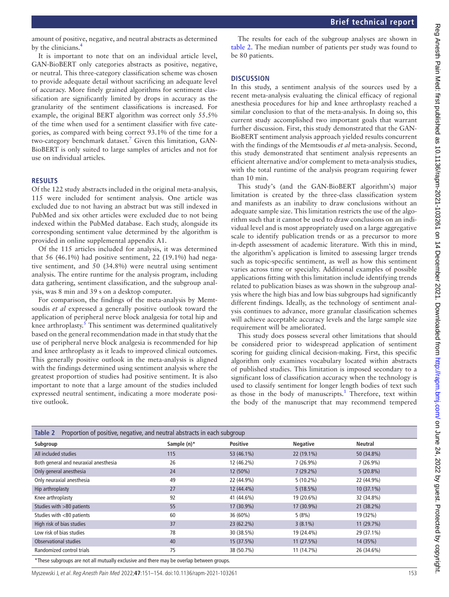amount of positive, negative, and neutral abstracts as determined by the clinicians[.4](#page-3-3)

It is important to note that on an individual article level, GAN-BioBERT only categories abstracts as positive, negative, or neutral. This three-category classification scheme was chosen to provide adequate detail without sacrificing an adequate level of accuracy. More finely grained algorithms for sentiment classification are significantly limited by drops in accuracy as the granularity of the sentiment classifications is increased. For example, the original BERT algorithm was correct only 55.5% of the time when used for a sentiment classifier with five categories, as compared with being correct 93.1% of the time for a two-category benchmark dataset.<sup>[7](#page-3-6)</sup> Given this limitation, GAN-BioBERT is only suited to large samples of articles and not for use on individual articles.

### **RESULTS**

Of the 122 study abstracts included in the original meta-analysis, 115 were included for sentiment analysis. One article was excluded due to not having an abstract but was still indexed in PubMed and six other articles were excluded due to not being indexed within the PubMed database. Each study, alongside its corresponding sentiment value determined by the algorithm is provided in [online supplemental appendix A1.](https://dx.doi.org/10.1136/rapm-2021-103261)

Of the 115 articles included for analysis, it was determined that 56 (46.1%) had positive sentiment, 22 (19.1%) had negative sentiment, and 50 (34.8%) were neutral using sentiment analysis. The entire runtime for the analysis program, including data gathering, sentiment classification, and the subgroup analysis, was 8 min and 39 s on a desktop computer.

For comparison, the findings of the meta-analysis by Memtsoudis *et al* expressed a generally positive outlook toward the application of peripheral nerve block analgesia for total hip and knee arthroplasty.<sup>[5](#page-3-4)</sup> This sentiment was determined qualitatively based on the general recommendation made in that study that the use of peripheral nerve block analgesia is recommended for hip and knee arthroplasty as it leads to improved clinical outcomes. This generally positive outlook in the meta-analysis is aligned with the findings determined using sentiment analysis where the greatest proportion of studies had positive sentiment. It is also important to note that a large amount of the studies included expressed neutral sentiment, indicating a more moderate positive outlook.

The results for each of the subgroup analyses are shown in [table](#page-2-0) 2. The median number of patients per study was found to be 80 patients.

## **DISCUSSION**

In this study, a sentiment analysis of the sources used by a recent meta-analysis evaluating the clinical efficacy of regional anesthesia procedures for hip and knee arthroplasty reached a similar conclusion to that of the meta-analysis. In doing so, this current study accomplished two important goals that warrant further discussion. First, this study demonstrated that the GAN-BioBERT sentiment analysis approach yielded results concurrent with the findings of the Memtsoudis *et al* meta-analysis. Second, this study demonstrated that sentiment analysis represents an efficient alternative and/or complement to meta-analysis studies, with the total runtime of the analysis program requiring fewer than 10 min.

This study's (and the GAN-BioBERT algorithm's) major limitation is created by the three-class classification system and manifests as an inability to draw conclusions without an adequate sample size. This limitation restricts the use of the algorithm such that it cannot be used to draw conclusions on an individual level and is most appropriately used on a large aggregative scale to identify publication trends or as a precursor to more in-depth assessment of academic literature. With this in mind, the algorithm's application is limited to assessing larger trends such as topic-specific sentiment, as well as how this sentiment varies across time or specialty. Additional examples of possible applications fitting with this limitation include identifying trends related to publication biases as was shown in the subgroup analysis where the high bias and low bias subgroups had significantly different findings. Ideally, as the technology of sentiment analysis continues to advance, more granular classification schemes will achieve acceptable accuracy levels and the large sample size requirement will be ameliorated.

This study does possess several other limitations that should be considered prior to widespread application of sentiment scoring for guiding clinical decision-making. First, this specific algorithm only examines vocabulary located within abstracts of published studies. This limitation is imposed secondary to a significant loss of classification accuracy when the technology is used to classify sentiment for longer length bodies of text such as those in the body of manuscripts.<sup>[1](#page-3-0)</sup> Therefore, text within the body of the manuscript that may recommend tempered

<span id="page-2-0"></span>

| Proportion of positive, negative, and neutral abstracts in each subgroup<br>Table 2 |             |                 |                 |                |  |  |  |
|-------------------------------------------------------------------------------------|-------------|-----------------|-----------------|----------------|--|--|--|
| Subgroup                                                                            | Sample (n)* | <b>Positive</b> | <b>Negative</b> | <b>Neutral</b> |  |  |  |
| All included studies                                                                | 115         | 53 (46.1%)      | 22 (19.1%)      | 50 (34.8%)     |  |  |  |
| Both general and neuraxial anesthesia                                               | 26          | 12 (46.2%)      | $7(26.9\%)$     | $7(26.9\%)$    |  |  |  |
| Only general anesthesia                                                             | 24          | 12 (50%)        | $7(29.2\%)$     | $5(20.8\%)$    |  |  |  |
| Only neuraxial anesthesia                                                           | 49          | 22 (44.9%)      | $5(10.2\%)$     | 22 (44.9%)     |  |  |  |
| Hip arthroplasty                                                                    | 27          | 12 (44.4%)      | 5(18.5%)        | $10(37.1\%)$   |  |  |  |
| Knee arthroplasty                                                                   | 92          | 41 (44.6%)      | 19 (20.6%)      | 32 (34.8%)     |  |  |  |
| Studies with >80 patients                                                           | 55          | 17 (30.9%)      | 17 (30.9%)      | 21 (38.2%)     |  |  |  |
| Studies with <80 patients                                                           | 60          | 36 (60%)        | 5(8%)           | 19 (32%)       |  |  |  |
| High risk of bias studies                                                           | 37          | 23 (62.2%)      | $3(8.1\%)$      | 11 (29.7%)     |  |  |  |
| Low risk of bias studies                                                            | 78          | 30 (38.5%)      | 19 (24.4%)      | 29 (37.1%)     |  |  |  |
| Observational studies                                                               | 40          | 15 (37.5%)      | 11(27.5%)       | 14 (35%)       |  |  |  |
| Randomized control trials                                                           | 75          | 38 (50.7%)      | 11 (14.7%)      | 26 (34.6%)     |  |  |  |

\*These subgroups are not all mutually exclusive and there may be overlap between groups.

Myszewski J, et al. Reg Anesth Pain Med 2022;**47**:151–154. doi:10.1136/rapm-2021-103261 153